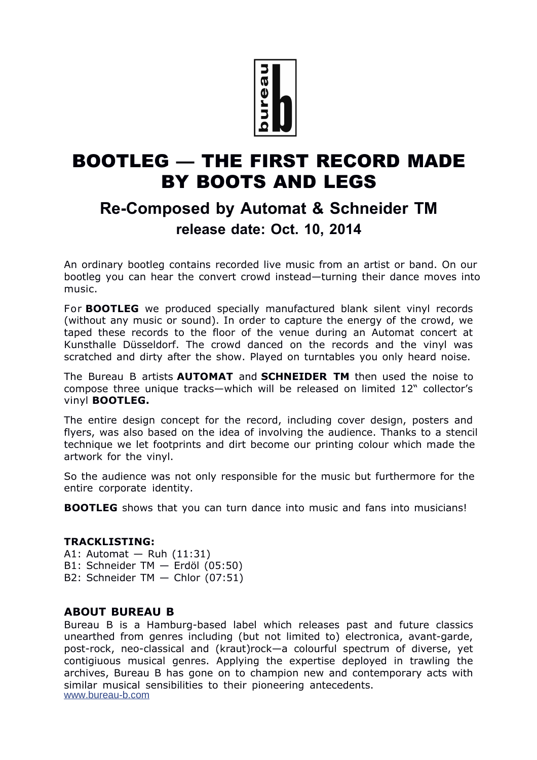

# BOOTLEG — THE FIRST RECORD MADE BY BOOTS AND LEGS

## **Re-Composed by Automat & Schneider TM release date: Oct. 10, 2014**

An ordinary bootleg contains recorded live music from an artist or band. On our bootleg you can hear the convert crowd instead—turning their dance moves into music.

For **BOOTLEG** we produced specially manufactured blank silent vinyl records (without any music or sound). In order to capture the energy of the crowd, we taped these records to the floor of the venue during an Automat concert at Kunsthalle Düsseldorf. The crowd danced on the records and the vinyl was scratched and dirty after the show. Played on turntables you only heard noise.

The Bureau B artists **AUTOMAT** and **SCHNEIDER TM** then used the noise to compose three unique tracks—which will be released on limited 12" collector's vinyl **BOOTLEG.**

The entire design concept for the record, including cover design, posters and flyers, was also based on the idea of involving the audience. Thanks to a stencil technique we let footprints and dirt become our printing colour which made the artwork for the vinyl.

So the audience was not only responsible for the music but furthermore for the entire corporate identity.

**BOOTLEG** shows that you can turn dance into music and fans into musicians!

#### **TRACKLISTING:**

- A1: Automat Ruh (11:31)
- B1: Schneider TM Erdöl (05:50)
- B2: Schneider TM Chlor (07:51)

### **ABOUT BUREAU B**

Bureau B is a Hamburg-based label which releases past and future classics unearthed from genres including (but not limited to) electronica, avant-garde, post-rock, neo-classical and (kraut)rock—a colourful spectrum of diverse, yet contigiuous musical genres. Applying the expertise deployed in trawling the archives, Bureau B has gone on to champion new and contemporary acts with similar musical sensibilities to their pioneering antecedents. [www.bureau-b.com](http://www.bureau-b.com/)